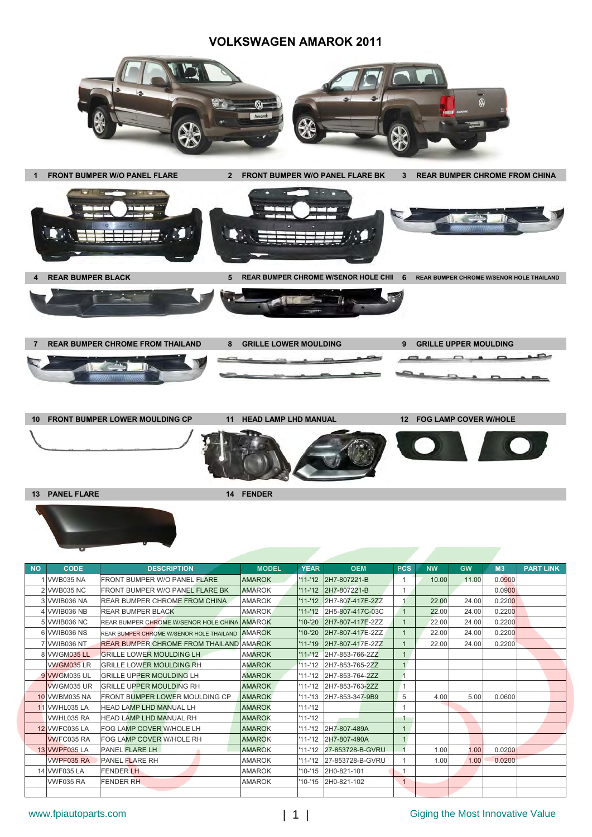#### **VOLKSWAGEN AMAROK 2011**



| <b>NO</b> | <b>CODE</b>          | <b>DESCRIPTION</b>                                     | <b>MODEL</b>  | <b>YEAR</b> | <b>OEM</b>               | <b>PCS</b>   | <b>NW</b> | <b>GW</b> | M <sub>3</sub> | <b>PART LINK</b> |
|-----------|----------------------|--------------------------------------------------------|---------------|-------------|--------------------------|--------------|-----------|-----------|----------------|------------------|
|           | 1 VWB035 NA          | <b>FRONT BUMPER W/O PANEL FLARE</b>                    | <b>AMAROK</b> |             | '11-'12 2H7-807221-B     | 1            | 10.00     | 11.00     | 0.0900         |                  |
|           | 2 VWB035 NC          | <b>FRONT BUMPER W/O PANEL FLARE BK</b>                 | <b>AMAROK</b> |             | '11-'12 2H7-807221-B     |              |           |           | 0.0900         |                  |
|           | 3 VWIB036 NA         | <b>REAR BUMPER CHROME FROM CHINA</b>                   | <b>AMAROK</b> |             | '11-'12 2H7-807-417E-2ZZ |              | 22.00     | 24.00     | 0.2200         |                  |
|           | 4 VWIB036 NB         | <b>REAR BUMPER BLACK</b>                               | <b>AMAROK</b> |             | '11-'12 2H5-807-417C-03C | $\mathbf{1}$ | 22.00     | 24.00     | 0.2200         |                  |
|           | 5 VWIB036 NC         | REAR BUMPER CHROME W/SENOR HOLE CHINA AMAROK           |               | $'10-20$    | 2H7-807-417E-2ZZ         |              | 22.00     | 24.00     | 0.2200         |                  |
|           | 6 VWIB036 NS         | <b>REAR BUMPER CHROME W/SENOR HOLE THAILAND AMAROK</b> |               | $'10-'20$   | 2H7-807-417E-2ZZ         |              | 22.00     | 24.00     | 0.2200         |                  |
|           | 7 VWIB036 NT         | <b>REAR BUMPER CHROME FROM THAILAND AMAROK</b>         |               |             | '11-'19 2H7-807-417E-2ZZ |              | 22.00     | 24.00     | 0.2200         |                  |
|           | 8 VWGM035 LL         | <b>GRILLE LOWER MOULDING LH</b>                        | <b>AMAROK</b> |             | '11-'12 2H7-853-766-2ZZ  | 1            |           |           |                |                  |
|           | VWGM035 LR           | <b>GRILLE LOWER MOULDING RH</b>                        | <b>AMAROK</b> |             | '11-'12 2H7-853-765-2ZZ  | 1            |           |           |                |                  |
|           | 9 VWGM035 UL         | <b>GRILLE UPPER MOULDING LH</b>                        | <b>AMAROK</b> |             | '11-'12 2H7-853-764-2ZZ  |              |           |           |                |                  |
|           | <b>WGM035 UR</b>     | <b>GRILLE UPPER MOULDING RH</b>                        | <b>AMAROK</b> |             | '11-'12 2H7-853-763-2ZZ  |              |           |           |                |                  |
|           | 10 VWBM035 NA        | <b>FRONT BUMPER LOWER MOULDING CP</b>                  | <b>AMAROK</b> |             | '11-'13 2H7-853-347-9B9  | 5            | 4.00      | 5.00      | 0.0600         |                  |
|           | <b>11 VWHL035 LA</b> | <b>HEAD LAMP LHD MANUAL LH</b>                         | <b>AMAROK</b> | $'11 - 12$  |                          |              |           |           |                |                  |
|           | VWHL035 RA           | <b>HEAD LAMP LHD MANUAL RH</b>                         | <b>AMAROK</b> | $'11 - 12$  |                          |              |           |           |                |                  |
|           | 12 VWFC035 LA        | <b>FOG LAMP COVER W/HOLE LH</b>                        | <b>AMAROK</b> |             | '11-'12 2H7-807-489A     | $\mathbf{1}$ |           |           |                |                  |
|           | <b>WVFC035 RA</b>    | <b>FOG LAMP COVER W/HOLE RH</b>                        | <b>AMAROK</b> |             | '11-'12 2H7-807-490A     |              |           |           |                |                  |
|           | 13 VWPF035 LA        | <b>PANEL FLARE LH</b>                                  | <b>AMAROK</b> |             | '11-'12 27-853728-B-GVRU | 1            | 1.00      | 1.00      | 0.0200         |                  |
|           | <b>VWPF035 RA</b>    | <b>PANEL FLARE RH</b>                                  | <b>AMAROK</b> |             | '11-'12 27-853728-B-GVRU | 1            | 1.00      | 1.00      | 0.0200         |                  |
|           | 14 VWF035 LA         | <b>FENDER LH</b>                                       | <b>AMAROK</b> |             | '10-'15 2H0-821-101      |              |           |           |                |                  |
|           | <b>VWF035 RA</b>     | <b>FENDER RH</b>                                       | <b>AMAROK</b> |             | '10-'15 2H0-821-102      | $\mathbf{1}$ |           |           |                |                  |
|           |                      |                                                        |               |             |                          |              |           |           |                |                  |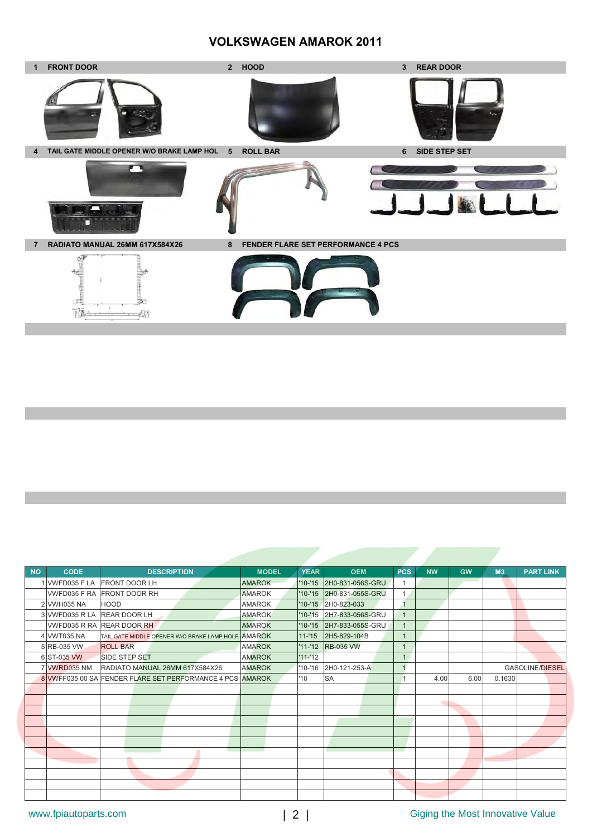### **VOLKSWAGEN AMAROK 2011**



| <b>NO</b> | <b>CODE</b>                 | <b>DESCRIPTION</b>                                        | <b>MODEL</b>  | <b>YEAR</b> | <b>OEM</b>               | <b>PCS</b>   | <b>NW</b> | <b>GW</b> | M <sub>3</sub> | <b>PART LINK</b>       |
|-----------|-----------------------------|-----------------------------------------------------------|---------------|-------------|--------------------------|--------------|-----------|-----------|----------------|------------------------|
|           | VWFD035 F LA                | <b>FRONT DOOR LH</b>                                      | <b>AMAROK</b> | $'10 - 15$  | 2H0-831-056S-GRU         | 1            |           |           |                |                        |
|           |                             | <b>VWFD035 F RA FRONT DOOR RH</b>                         | <b>AMAROK</b> | $'10-15$    | 2H0-831-055S-GRU         | $\mathbf{1}$ |           |           |                |                        |
|           | 2 VWH035 NA                 | <b>HOOD</b>                                               | <b>AMAROK</b> |             | '10-'15 2H0-823-033      | 1            |           |           |                |                        |
|           | 3 VWFD035 R LA REAR DOOR LH |                                                           | <b>AMAROK</b> |             | '10-'15 2H7-833-056S-GRU | $\mathbf{1}$ |           |           |                |                        |
|           |                             | VWFD035 R RA REAR DOOR RH                                 | <b>AMAROK</b> |             | '10-'15 2H7-833-055S-GRU |              |           |           |                |                        |
|           | 4 VWT035 NA                 | TAIL GATE MIDDLE OPENER W/O BRAKE LAMP HOLE AMAROK        |               | $11 - 15$   | 2H5-829-104B             | 1            |           |           |                |                        |
|           | 5 RB-035 VW                 | <b>ROLL BAR</b>                                           | <b>AMAROK</b> | $'11 - 12$  | <b>RB-035 VW</b>         | 1            |           |           |                |                        |
|           | 6 ST-035 VW                 | <b>SIDE STEP SET</b>                                      | <b>AMAROK</b> | $'11 - 12$  |                          | $\mathbf{1}$ |           |           |                |                        |
|           | 7 VWRD035 NM                | RADIATO MANUAL 26MM 617X584X26                            | <b>AMAROK</b> |             | '10-'16 2H0-121-253-A    | 4            |           |           |                | <b>GASOLINE/DIESEL</b> |
|           |                             | 8 VWFF035 00 SAIFENDER FLARE SET PERFORMANCE 4 PCS AMAROK |               | '10         | <b>SA</b>                |              | 4.00      | 6.00      | 0.1630         |                        |
|           |                             |                                                           |               |             |                          |              |           |           |                |                        |
|           |                             |                                                           |               |             |                          |              |           |           |                |                        |
|           |                             |                                                           |               |             |                          |              |           |           |                |                        |
|           |                             |                                                           |               |             |                          |              |           |           |                |                        |
|           |                             |                                                           |               |             |                          |              |           |           |                |                        |
|           |                             |                                                           |               |             |                          |              |           |           |                |                        |
|           |                             |                                                           |               |             |                          |              |           |           |                |                        |
|           |                             |                                                           |               |             |                          |              |           |           |                |                        |
|           |                             |                                                           |               |             |                          |              |           |           |                |                        |
|           |                             |                                                           |               |             |                          |              |           |           |                |                        |
|           |                             |                                                           |               |             |                          |              |           |           |                |                        |

www.fpiautoparts.com 
<br>
2 | Giging the Most Innovative Value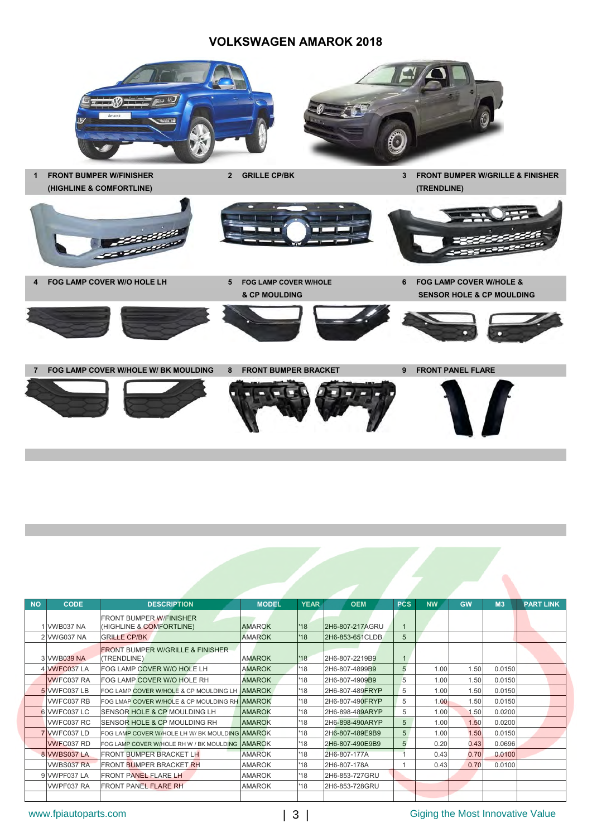### **VOLKSWAGEN AMAROK 2018**









**4 FOG LAMP COVER W/O HOLE LH 5 FOG LAMP COVER W/HOLE 6 FOG LAMP COVER W/HOLE &** 

**& CP MOULDING SENSOR HOLE & CP MOULDING**













**7 FOG LAMP COVER W/HOLE W/ BK MOULDING 8 FRONT BUMPER BRACKET 9 FRONT PANEL FLARE**











| <b>NO</b> | <b>CODE</b>       | <b>DESCRIPTION</b>                                         | <b>MODEL</b>  | <b>YEAR</b> | <b>OEM</b>      | <b>PCS</b> | <b>NW</b> | <b>GW</b> | M <sub>3</sub> | <b>PART LINK</b> |
|-----------|-------------------|------------------------------------------------------------|---------------|-------------|-----------------|------------|-----------|-----------|----------------|------------------|
|           |                   | <b>FRONT BUMPER W/FINISHER</b>                             |               |             |                 |            |           |           |                |                  |
|           | 1 VWB037 NA       | (HIGHLINE & COMFORTLINE)                                   | <b>AMAROK</b> | '18         | 2H6-807-217AGRU |            |           |           |                |                  |
|           | 2 VWG037 NA       | <b>GRILLE CP/BK</b>                                        | <b>AMAROK</b> | '18         | 2H6-853-651CLDB | 5          |           |           |                |                  |
|           | 3 VWB039 NA       | <b>FRONT BUMPER W/GRILLE &amp; FINISHER</b><br>(TRENDLINE) | <b>AMAROK</b> | '18         | 2H6-807-2219B9  | 1          |           |           |                |                  |
|           | 4 VWFC037 LA      | FOG LAMP COVER W/O HOLE LH                                 | <b>AMAROK</b> | '18         | 2H6-807-4899B9  | 5          | 1.00      | 1.50      | 0.0150         |                  |
|           | <b>VWFC037 RA</b> | FOG LAMP COVER W/O HOLE RH                                 | <b>AMAROK</b> | '18         | 2H6-807-4909B9  | 5          | 1.00      | 1.50      | 0.0150         |                  |
|           | 5 VWFC037 LB      | FOG LAMP COVER W/HOLE & CP MOULDING LH AMAROK              |               | '18         | 2H6-807-489FRYP | 5          | 1.00      | 1.50      | 0.0150         |                  |
|           | VWFC037 RB        | FOG LMAP COVER W/HOLE & CP MOULDING RH AMAROK              |               | 18'         | 2H6-807-490FRYP | 5          | 1.00      | 1.50      | 0.0150         |                  |
|           | 6 VWFC037 LC      | SENSOR HOLE & CP MOULDING LH                               | <b>AMAROK</b> | '18         | 2H6-898-489ARYP | 5          | 1.00      | 1.50      | 0.0200         |                  |
|           | VWFC037 RC        | SENSOR HOLE & CP MOULDING RH                               | <b>AMAROK</b> | '18         | 2H6-898-490ARYP | 5          | 1.00      | 1.50      | 0.0200         |                  |
|           | 7 VWFC037 LD      | FOG LAMP COVER W/HOLE LH W/ BK MOULDING AMAROK             |               | '18         | 2H6-807-489E9B9 | 5          | 1.00      | 1.50      | 0.0150         |                  |
|           | <b>VWFC037 RD</b> | FOG LAMP COVER W/HOLE RH W / BK MOULDING AMAROK            |               | '18         | 2H6-807-490E9B9 | 5          | 0.20      | 0.43      | 0.0696         |                  |
|           | 8 VWBS037 LA      | <b>FRONT BUMPER BRACKET LH</b>                             | <b>AMAROK</b> | '18         | 2H6-807-177A    |            | 0.43      | 0.70      | 0.0100         |                  |
|           | VWBS037 RA        | <b>FRONT BUMPER BRACKET RH</b>                             | <b>AMAROK</b> | '18         | 2H6-807-178A    |            | 0.43      | 0.70      | 0.0100         |                  |
|           | 9 VWPF037 LA      | <b>FRONT PANEL FLARE LH</b>                                | <b>AMAROK</b> | 18'         | 2H6-853-727GRU  |            |           |           |                |                  |
|           | VWPF037 RA        | <b>FRONT PANEL FLARE RH</b>                                | <b>AMAROK</b> | '18         | 2H6-853-728GRU  |            |           |           |                |                  |
|           |                   |                                                            |               |             |                 |            |           |           |                |                  |

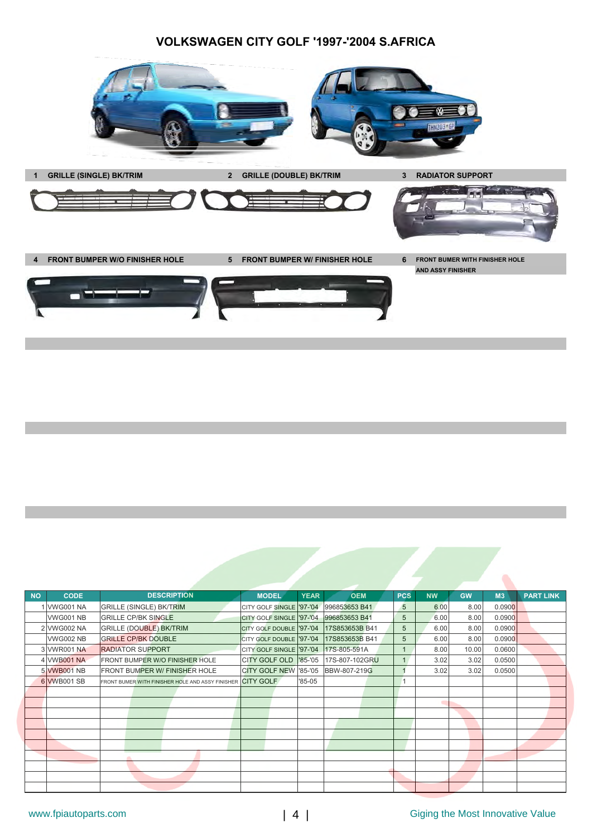### **VOLKSWAGEN CITY GOLF '1997-'2004 S.AFRICA**



| <b>NO</b> | <b>CODE</b>      | <b>DESCRIPTION</b>                               | <b>MODEL</b>                             | <b>YEAR</b> | <b>OEM</b>                            | <b>PCS</b>     | <b>NW</b> | <b>GW</b> | M <sub>3</sub> | <b>PART LINK</b> |
|-----------|------------------|--------------------------------------------------|------------------------------------------|-------------|---------------------------------------|----------------|-----------|-----------|----------------|------------------|
|           | 1 VWG001 NA      | <b>GRILLE (SINGLE) BK/TRIM</b>                   | CITY GOLF SINGLE '97-'04 996853653 B41   |             |                                       | 5              | 6.00      | 8.00      | 0.0900         |                  |
|           | <b>VWG001 NB</b> | <b>GRILLE CP/BK SINGLE</b>                       | CITY GOLF SINGLE   '97-'04 996853653 B41 |             |                                       | 5              | 6.00      | 8.00      | 0.0900         |                  |
|           | 2 VWG002 NA      | <b>GRILLE (DOUBLE) BK/TRIM</b>                   | CITY GOLF DOUBLE '97-'04                 |             | 17S853653B B41                        | 5              | 6.00      | 8.00      | 0.0900         |                  |
|           | <b>VWG002 NB</b> | <b>GRILLE CP/BK DOUBLE</b>                       | CITY GOLF DOUBLE '97-'04                 |             | 17S853653B B41                        | 5              | 6.00      | 8.00      | 0.0900         |                  |
|           | 3 VWR001 NA      | <b>RADIATOR SUPPORT</b>                          | CITY GOLF SINGLE '97-'04 17S-805-591A    |             |                                       | $\mathbf{1}$   | 8.00      | 10.00     | 0.0600         |                  |
|           | 4 VWB001 NA      | FRONT BUMPER W/O FINISHER HOLE                   |                                          |             | CITY GOLF OLD  85-'05  17S-807-102GRU | 1              | 3.02      | 3.02      | 0.0500         |                  |
|           | 5 VWB001 NB      | <b>FRONT BUMPER W/ FINISHER HOLE</b>             | CITY GOLF NEW '85-'05  BBW-807-219G      |             |                                       |                | 3.02      | 3.02      | 0.0500         |                  |
|           | 6 VWB001 SB      | FRONT BUMER WITH FINISHER HOLE AND ASSY FINISHER | <b>CITY GOLF</b>                         | $85-05$     |                                       | $\overline{1}$ |           |           |                |                  |
|           |                  |                                                  |                                          |             |                                       |                |           |           |                |                  |
|           |                  |                                                  |                                          |             |                                       |                |           |           |                |                  |
|           |                  |                                                  |                                          |             |                                       |                |           |           |                |                  |
|           |                  |                                                  |                                          |             |                                       |                |           |           |                |                  |
|           |                  |                                                  |                                          |             |                                       |                |           |           |                |                  |
|           |                  |                                                  |                                          |             |                                       |                |           |           |                |                  |
|           |                  |                                                  |                                          |             |                                       |                |           |           |                |                  |
|           |                  |                                                  |                                          |             |                                       |                |           |           |                |                  |
|           |                  |                                                  |                                          |             |                                       |                |           |           |                |                  |
|           |                  |                                                  |                                          |             |                                       |                |           |           |                |                  |

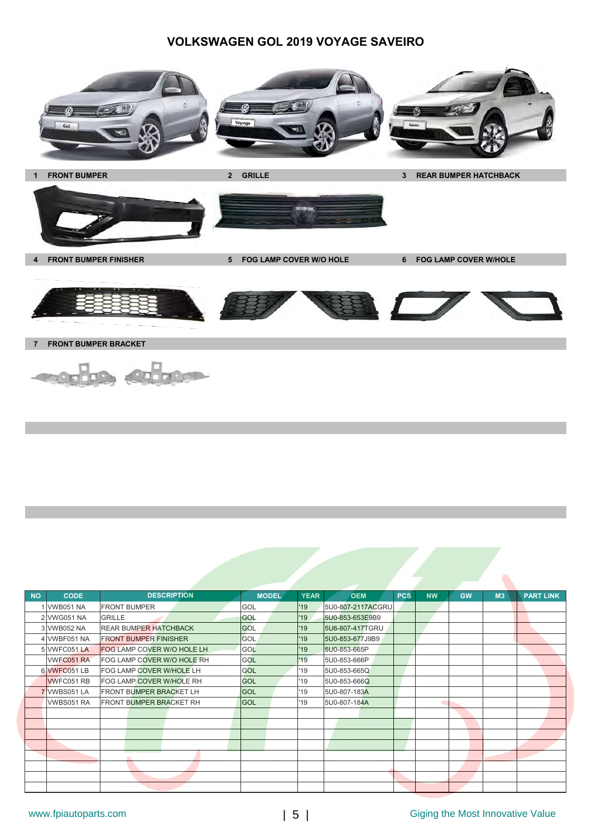# **VOLKSWAGEN GOL 2019 VOYAGE SAVEIRO**







**4 FRONT BUMPER FINISHER 5 FOG LAMP COVER W/O HOLE 6 FOG LAMP COVER W/HOLE** 





**7 FRONT BUMPER BRACKET** 



| <b>NO</b> | <b>CODE</b>       | <b>DESCRIPTION</b>                | <b>MODEL</b> | <b>YEAR</b> | <b>OEM</b>        | <b>PCS</b> | <b>NW</b> | <b>GW</b> | M <sub>3</sub> | <b>PART LINK</b> |
|-----------|-------------------|-----------------------------------|--------------|-------------|-------------------|------------|-----------|-----------|----------------|------------------|
|           | <b>VWB051 NA</b>  | <b>FRONT BUMPER</b>               | GOL          | '19         | 5U0-807-2117ACGRU |            |           |           |                |                  |
|           | 2 VWG051 NA       | <b>GRILLE</b>                     | <b>GOL</b>   | '19         | 5U0-853-653E9B9   |            |           |           |                |                  |
|           | 3 VWB052 NA       | <b>REAR BUMPER HATCHBACK</b>      | <b>GOL</b>   | '19         | 5U6-807-417TGRU   |            |           |           |                |                  |
|           | 4 VWBF051 NA      | <b>FRONT BUMPER FINISHER</b>      | <b>GOL</b>   | '19         | 5U0-853-677J9B9   |            |           |           |                |                  |
|           | 5 VWFC051 LA      | <b>FOG LAMP COVER W/O HOLE LH</b> | GOL          | '19         | 5U0-853-665P      |            |           |           |                |                  |
|           | <b>VWFC051 RA</b> | FOG LAMP COVER W/O HOLE RH        | GOL          | '19         | 5U0-853-666P      |            |           |           |                |                  |
|           | 6 VWFC051 LB      | FOG LAMP COVER W/HOLE LH          | GOL          | '19         | 5U0-853-665Q      |            |           |           |                |                  |
|           | <b>WVFC051 RB</b> | FOG LAMP COVER W/HOLE RH          | <b>GOL</b>   | 19          | 5U0-853-666Q      |            |           |           |                |                  |
|           | 7 VWBS051 LA      | <b>FRONT BUMPER BRACKET LH</b>    | <b>GOL</b>   | 19          | 5U0-807-183A      |            |           |           |                |                  |
|           | VWBS051 RA        | <b>FRONT BUMPER BRACKET RH</b>    | <b>GOL</b>   | 19          | 5U0-807-184A      |            |           |           |                |                  |
|           |                   |                                   |              |             |                   |            |           |           |                |                  |
|           |                   |                                   |              |             |                   |            |           |           |                |                  |
|           |                   |                                   |              |             |                   |            |           |           |                |                  |
|           |                   |                                   |              |             |                   |            |           |           |                |                  |
|           |                   |                                   |              |             |                   |            |           |           |                |                  |
|           |                   |                                   |              |             |                   |            |           |           |                |                  |
|           |                   |                                   |              |             |                   |            |           |           |                |                  |
|           |                   |                                   |              |             |                   |            |           |           |                |                  |

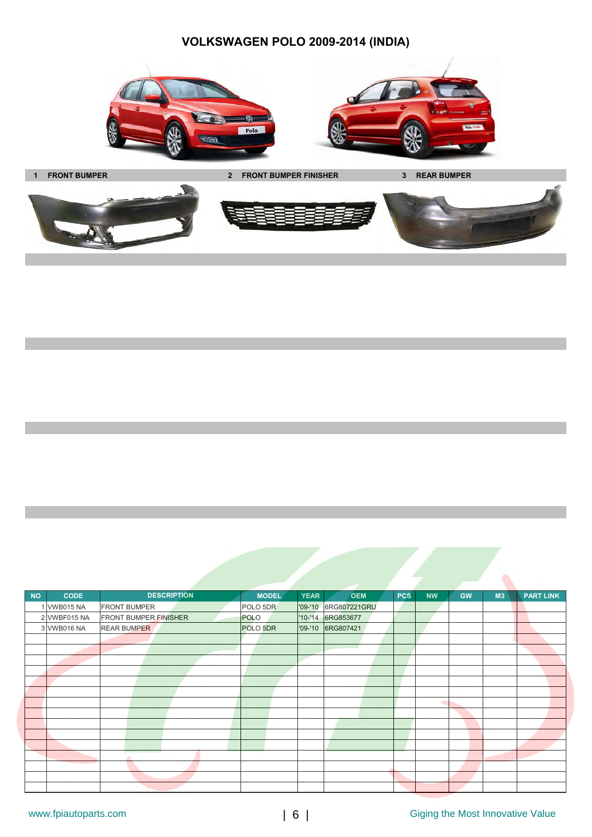**VOLKSWAGEN POLO 2009-2014 (INDIA)**







| <b>NO</b> | <b>CODE</b>  | <b>DESCRIPTION</b>           | <b>MODEL</b> | <b>YEAR</b> | <b>OEM</b>           | <b>PCS</b> | <b>NW</b> | <b>GW</b> | M <sub>3</sub> | <b>PART LINK</b> |
|-----------|--------------|------------------------------|--------------|-------------|----------------------|------------|-----------|-----------|----------------|------------------|
|           | 1 VWB015 NA  | <b>FRONT BUMPER</b>          | POLO 5DR     |             | '09-'10 6RG807221GRU |            |           |           |                |                  |
|           | 2 VWBF015 NA | <b>FRONT BUMPER FINISHER</b> | POLO         |             | '10-'14 6RG853677    |            |           |           |                |                  |
|           | 3 VWB016 NA  | <b>REAR BUMPER</b>           | POLO 5DR     |             | '09-'10 6RG807421    |            |           |           |                |                  |
|           |              |                              |              |             |                      |            |           |           |                |                  |
|           |              |                              |              |             |                      |            |           |           |                |                  |
|           |              |                              |              |             |                      |            |           |           |                |                  |
|           |              |                              |              |             |                      |            |           |           |                |                  |
|           |              |                              |              |             |                      |            |           |           |                |                  |
|           |              |                              |              |             |                      |            |           |           |                |                  |
|           |              |                              |              |             |                      |            | ٠         |           |                |                  |
|           |              |                              |              |             |                      |            |           |           |                |                  |
|           |              |                              |              |             |                      |            |           |           |                |                  |
|           |              |                              |              |             |                      |            |           |           |                |                  |
|           |              |                              |              |             |                      |            |           |           |                |                  |
|           |              |                              |              |             |                      |            |           |           |                |                  |
|           |              |                              |              |             |                      |            |           |           |                |                  |
|           |              |                              |              |             |                      |            |           |           |                |                  |
|           |              |                              |              |             |                      |            |           |           |                |                  |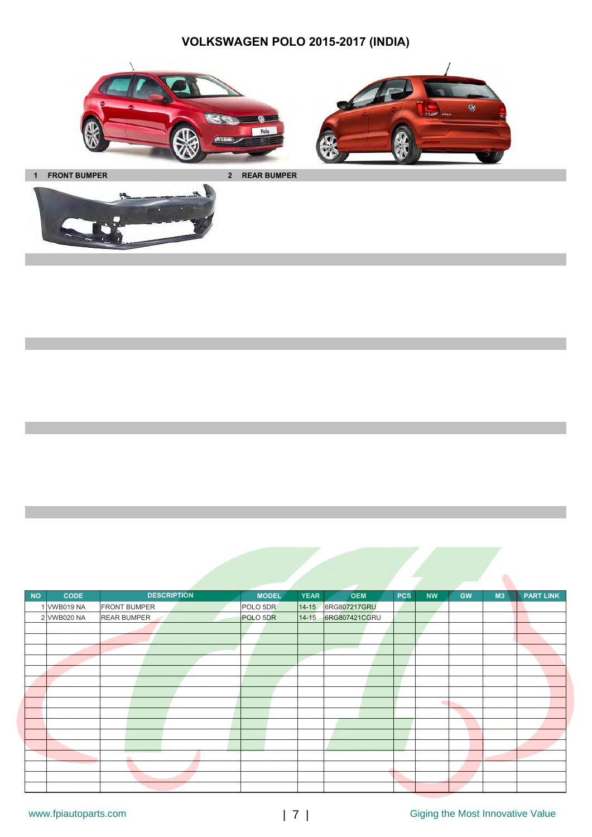# **VOLKSWAGEN POLO 2015-2017 (INDIA)**





**1 FRONT BUMPER 2 REAR BUMPER**



| <b>NO</b> | <b>CODE</b> | <b>DESCRIPTION</b>  | <b>MODEL</b> | <b>YEAR</b><br><b>OEM</b>  | <b>PCS</b> | <b>NW</b><br><b>GW</b> | M3 | <b>PART LINK</b> |
|-----------|-------------|---------------------|--------------|----------------------------|------------|------------------------|----|------------------|
|           | 1 VWB019 NA | <b>FRONT BUMPER</b> | POLO 5DR     | 14-15 6RG807217GRU         |            |                        |    |                  |
|           | 2 VWB020 NA | <b>REAR BUMPER</b>  | POLO 5DR     | 6RG807421CGRU<br>$14 - 15$ |            |                        |    |                  |
|           |             |                     |              |                            |            |                        |    |                  |
|           |             |                     |              |                            |            |                        |    |                  |
|           |             |                     |              |                            |            |                        |    |                  |
|           |             |                     |              |                            |            |                        |    |                  |
|           |             |                     |              |                            |            |                        |    |                  |
|           |             |                     |              |                            |            |                        |    |                  |
|           |             |                     |              |                            |            |                        |    |                  |
|           |             |                     |              |                            |            | ٠                      |    |                  |
|           |             |                     |              |                            |            |                        |    |                  |
|           |             |                     |              |                            |            |                        |    |                  |
|           |             |                     |              |                            |            |                        |    |                  |
|           |             |                     |              |                            |            |                        |    |                  |
|           |             | m                   |              |                            |            |                        |    |                  |
|           |             |                     |              |                            |            |                        |    |                  |
|           |             |                     |              |                            |            |                        |    |                  |
|           |             |                     |              |                            |            |                        |    |                  |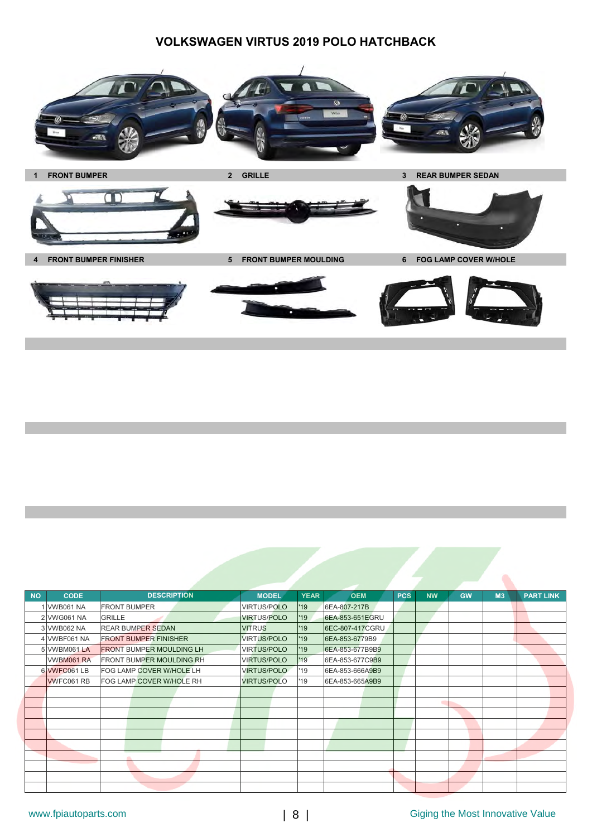# **VOLKSWAGEN VIRTUS 2019 POLO HATCHBACK**



| <b>NO</b> | <b>CODE</b>      | <b>DESCRIPTION</b>              | <b>MODEL</b>       | <b>YEAR</b> | <b>OEM</b>      | <b>PCS</b> | <b>NW</b> | <b>GW</b> | M <sub>3</sub> | <b>PART LINK</b> |
|-----------|------------------|---------------------------------|--------------------|-------------|-----------------|------------|-----------|-----------|----------------|------------------|
|           | 1 VWB061 NA      | <b>FRONT BUMPER</b>             | <b>VIRTUS/POLO</b> | '19         | 6EA-807-217B    |            |           |           |                |                  |
|           | 2 VWG061 NA      | <b>GRILLE</b>                   | <b>VIRTUS/POLO</b> | '19         | 6EA-853-651EGRU |            |           |           |                |                  |
|           | 3 VWB062 NA      | <b>REAR BUMPER SEDAN</b>        | <b>VITRUS</b>      | '19         | 6EC-807-417CGRU |            |           |           |                |                  |
|           | 4 VWBF061 NA     | <b>FRONT BUMPER FINISHER</b>    | <b>VIRTUS/POLO</b> | '19         | 6EA-853-6779B9  |            |           |           |                |                  |
|           | 5 VWBM061 LA     | <b>FRONT BUMPER MOULDING LH</b> | <b>VIRTUS/POLO</b> | '19         | 6EA-853-677B9B9 |            |           |           |                |                  |
|           | VWBM061 RA       | <b>FRONT BUMPER MOULDING RH</b> | <b>VIRTUS/POLO</b> | '19         | 6EA-853-677C9B9 |            |           |           |                |                  |
|           | 6 VWFC061 LB     | FOG LAMP COVER W/HOLE LH        | <b>VIRTUS/POLO</b> | '19         | 6EA-853-666A9B9 |            |           |           |                |                  |
|           | <b>WFC061 RB</b> | FOG LAMP COVER W/HOLE RH        | <b>VIRTUS/POLO</b> | '19         | 6EA-853-665A9B9 |            |           |           |                |                  |
|           |                  |                                 |                    |             |                 |            |           |           |                |                  |
|           |                  |                                 |                    |             |                 |            |           |           |                |                  |
|           |                  |                                 |                    |             |                 |            |           |           |                |                  |
|           |                  |                                 |                    |             |                 |            |           |           |                |                  |
|           |                  |                                 |                    |             |                 |            |           |           |                |                  |
|           |                  |                                 |                    |             |                 |            |           |           |                |                  |
|           |                  |                                 |                    |             |                 |            |           |           |                |                  |
|           |                  |                                 |                    |             |                 |            |           |           |                |                  |
|           |                  |                                 |                    |             |                 |            |           |           |                |                  |
|           |                  |                                 |                    |             |                 |            |           |           |                |                  |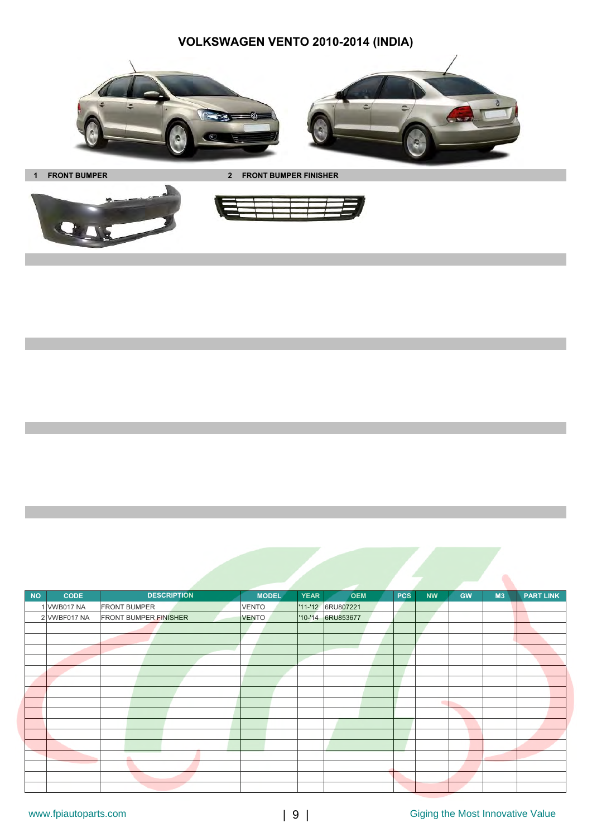**VOLKSWAGEN VENTO 2010-2014 (INDIA)**



**1 FRONT BUMPER 2 FRONT BUMPER FINISHER**



**NO CODE MODEL YEAR OEM PCS NW GW M3 PART LINK** 1 VWB017 NA FRONT BUMPER VENTO '11-'12 6RU807221 2 VWBF017 NA FRONT BUMPER FINISHER VENTO 10-14 6RU853677 **DESCRIPTION**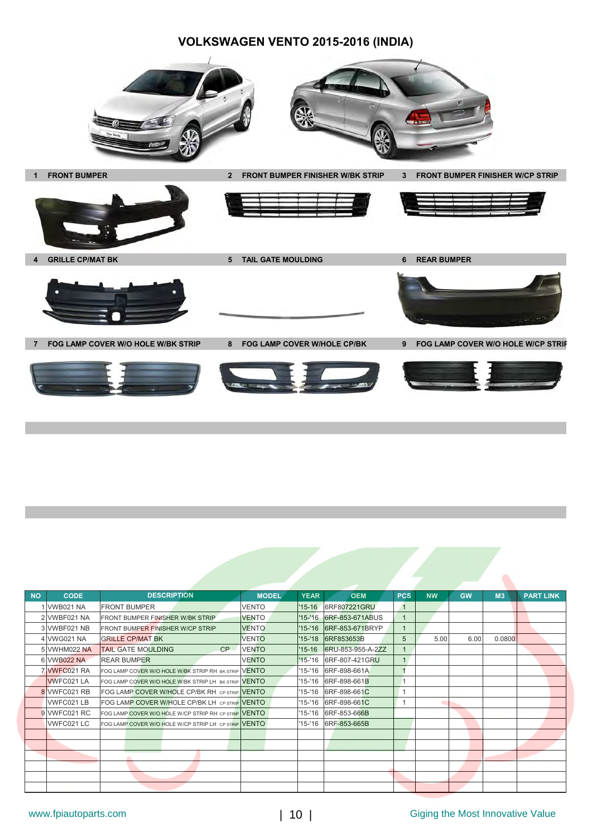### **VOLKSWAGEN VENTO 2015-2016 (INDIA)**



| <b>NO</b> | <b>CODE</b>       | <b>DESCRIPTION</b>                                   | <b>MODEL</b> | <b>YEAR</b> | <b>OEM</b>              | <b>PCS</b>     | <b>NW</b> | <b>GW</b> | M <sub>3</sub> | <b>PART LINK</b> |
|-----------|-------------------|------------------------------------------------------|--------------|-------------|-------------------------|----------------|-----------|-----------|----------------|------------------|
|           | 1 VWB021 NA       | <b>FRONT BUMPER</b>                                  | <b>VENTO</b> | $'15-16$    | 6RF807221GRU            | $\overline{1}$ |           |           |                |                  |
|           | 2 VWBF021 NA      | FRONT BUMPER FINISHER W/BK STRIP                     | <b>VENTO</b> |             | '15-'16 6RF-853-671ABUS | $\overline{1}$ |           |           |                |                  |
|           | 3 VWBF021 NB      | FRONT BUMPER FINISHER W/CP STRIP                     | <b>VENTO</b> | $'15 - 16$  | 6RF-853-671BRYP         | $\overline{1}$ |           |           |                |                  |
|           | 4 VWG021 NA       | <b>GRILLE CP/MAT BK</b>                              | <b>VENTO</b> | $'15-'18$   | 6RF853653B              | 5              | 5.00      | 6.00      | 0.0800         |                  |
|           | 5 VWHM022 NA      | CP<br><b>TAIL GATE MOULDING</b>                      | <b>VENTO</b> | $'15-16$    | 6RU-853-955-A-2ZZ       |                |           |           |                |                  |
|           | 6 VWB022 NA       | <b>REAR BUMPER</b>                                   | <b>VENTO</b> | $'15 - 16$  | 6RF-807-421GRU          | 1              |           |           |                |                  |
|           | 7 WFC021 RA       | FOG LAMP COVER W/O HOLE W/BK STRIP RH BK STRIP VENTO |              | '15-'16     | 6RF-898-661A            |                |           |           |                |                  |
|           | <b>WVFC021 LA</b> | FOG LAMP COVER W/O HOLE W/BK STRIP LH BK STRIP VENTO |              | '15-'16     | 6RF-898-661B            |                |           |           |                |                  |
|           | 8 VWFC021 RB      | FOG LAMP COVER W/HOLE CP/BK RH CP STRIP VENTO        |              | '15-'16     | 6RF-898-661C            |                |           |           |                |                  |
|           | VWFC021LB         | FOG LAMP COVER W/HOLE CP/BK LH CP STRIP VENTO        |              | '15-'16     | 6RF-898-661C            |                |           |           |                |                  |
|           | 9 VWFC021 RC      | FOG LAMP COVER W/O HOLE W/CP STRIP RH CP STRIP VENTO |              | '15-'16     | 6RF-853-666B            |                |           |           |                |                  |
|           | VWFC021 LC        | FOG LAMP COVER W/O HOLE W/CP STRIP LH CP STRIP VENTO |              |             | '15-'16 6RF-853-665B    |                |           |           |                |                  |
|           |                   |                                                      |              |             |                         |                |           |           |                |                  |
|           |                   |                                                      |              |             |                         |                |           |           |                |                  |
|           |                   |                                                      |              |             |                         |                |           |           |                |                  |
|           |                   |                                                      |              |             |                         |                |           |           |                |                  |
|           |                   |                                                      |              |             |                         |                |           |           |                |                  |
|           |                   |                                                      |              |             |                         |                |           |           |                |                  |

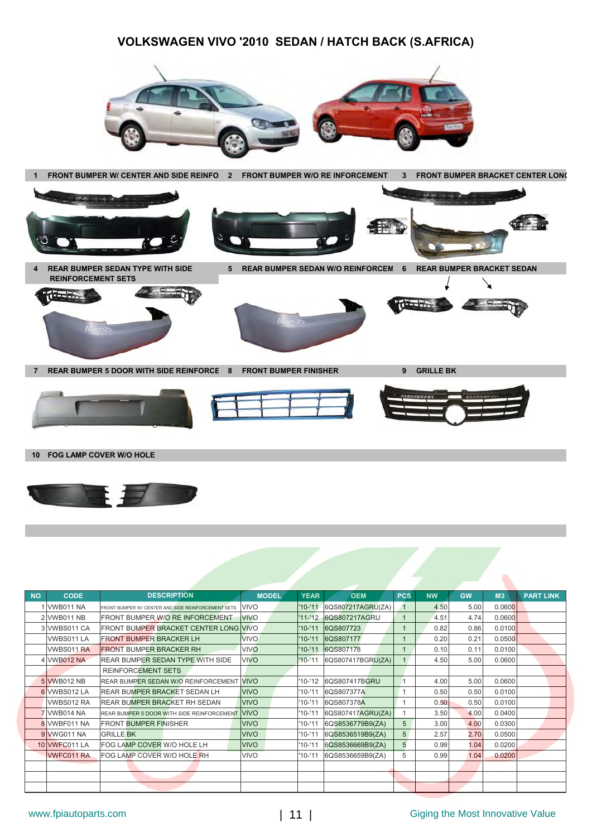### **VOLKSWAGEN VIVO '2010 SEDAN / HATCH BACK (S.AFRICA)**





| <b>NO</b> | <b>CODE</b>       | <b>DESCRIPTION</b>                                     | <b>MODEL</b> | <b>YEAR</b> | <b>OEM</b>        | <b>PCS</b>      | <b>NW</b> | <b>GW</b> | M <sub>3</sub> | <b>PART LINK</b> |
|-----------|-------------------|--------------------------------------------------------|--------------|-------------|-------------------|-----------------|-----------|-----------|----------------|------------------|
|           | 1 VWB011 NA       | FRONT BUMPER W/ CENTER AND SIDE REINFORCEMENT SETS     | <b>VIVO</b>  | $'10 - 11'$ | 6QS807217AGRU(ZA) |                 | 4.50      | 5.00      | 0.0600         |                  |
|           | 2 VWB011 NB       | <b>FRONT BUMPER W/O RE INFORCEMENT</b>                 | <b>VIVO</b>  | $'11 - 12$  | 6QS807217AGRU     | $\overline{1}$  | 4.51      | 4.74      | 0.0600         |                  |
|           | 3 VWBS011 CA      | <b>FRONT BUMPER BRACKET CENTER LONG VIVO</b>           |              | $'10-11$    | 6QS807723         |                 | 0.82      | 0.86      | 0.0100         |                  |
|           | VWBS011 LA        | <b>FRONT BUMPER BRACKER LH</b>                         | <b>VIVO</b>  | $'10 - '11$ | 6QS807177         |                 | 0.20      | 0.21      | 0.0500         |                  |
|           | VWBS011 RA        | <b>FRONT BUMPER BRACKER RH</b>                         | <b>VIVO</b>  | $'10 - '11$ | 6QS807178         | $\overline{1}$  | 0.10      | 0.11      | 0.0100         |                  |
|           | 4 VWB012 NA       | <b>REAR BUMPER SEDAN TYPE WITH SIDE</b>                | <b>VIVO</b>  | $'10-'11$   | 6QS807417BGRU(ZA) | 1               | 4.50      | 5.00      | 0.0600         |                  |
|           |                   | <b>REINFORCEMENT SETS</b>                              |              |             |                   |                 |           |           |                |                  |
|           | 5 VWB012 NB       | <b>REAR BUMPER SEDAN W/O REINFORCEMENT VIVO</b>        |              | '10-'12     | 6QS807417BGRU     |                 | 4.00      | 5.00      | 0.0600         |                  |
|           | 6 VWBS012 LA      | <b>REAR BUMPER BRACKET SEDAN LH</b>                    | <b>VIVO</b>  | $10 - 11$   | 6QS807377A        |                 | 0.50      | 0.50      | 0.0100         |                  |
|           | VWBS012 RA        | <b>REAR BUMPER BRACKET RH SEDAN</b>                    | <b>VIVO</b>  | $10 - 11$   | 6QS807378A        |                 | 0.50      | 0.50      | 0.0100         |                  |
|           | 7 VWB014 NA       | <b>REAR BUMPER 5 DOOR WITH SIDE REINFORCEMENT VIVO</b> |              | $10 - 11$   | 6QS807417AGRU(ZA) |                 | 3.50      | 4.00      | 0.0400         |                  |
|           | 8 VWBF011 NA      | <b>FRONT BUMPER FINISHER</b>                           | <b>VIVO</b>  | $10 - 11$   | 6QS8536779B9(ZA)  | 5               | 3.00      | 4.00      | 0.0300         |                  |
|           | 9 VWG011 NA       | <b>GRILLE BK</b>                                       | <b>VIVO</b>  | $10 - 11$   | 6QS8536519B9(ZA)  | $5\phantom{.0}$ | 2.57      | 2.70      | 0.0500         |                  |
|           | 10 VWFC011 LA     | <b>FOG LAMP COVER W/O HOLE LH</b>                      | <b>VIVO</b>  | $10 - 11$   | 6QS8536669B9(ZA)  | 5               | 0.99      | 1.04      | 0.0200         |                  |
|           | <b>VWFC011 RA</b> | FOG LAMP COVER W/O HOLE RH                             | <b>VIVO</b>  | $'10-'11$   | 6QS8536659B9(ZA)  | 5               | 0.99      | 1.04      | 0.0200         |                  |
|           |                   |                                                        |              |             |                   |                 |           |           |                |                  |
|           |                   |                                                        |              |             |                   |                 |           |           |                |                  |
|           |                   |                                                        |              |             |                   |                 |           |           |                |                  |